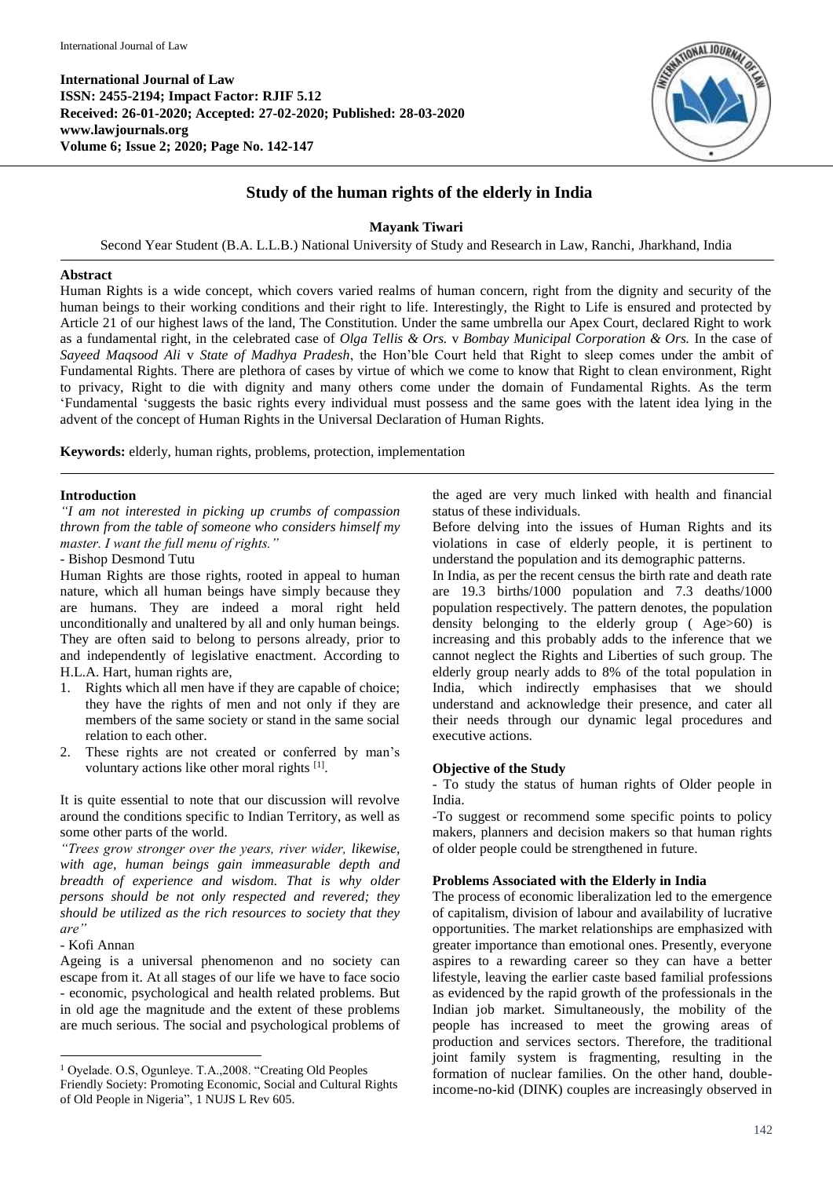

# **Study of the human rights of the elderly in India**

**Mayank Tiwari**

Second Year Student (B.A. L.L.B.) National University of Study and Research in Law, Ranchi, Jharkhand, India

## **Abstract**

Human Rights is a wide concept, which covers varied realms of human concern, right from the dignity and security of the human beings to their working conditions and their right to life. Interestingly, the Right to Life is ensured and protected by Article 21 of our highest laws of the land, The Constitution. Under the same umbrella our Apex Court, declared Right to work as a fundamental right, in the celebrated case of *Olga Tellis & Ors.* v *Bombay Municipal Corporation & Ors.* In the case of *Sayeed Maqsood Ali* v *State of Madhya Pradesh*, the Hon'ble Court held that Right to sleep comes under the ambit of Fundamental Rights. There are plethora of cases by virtue of which we come to know that Right to clean environment, Right to privacy, Right to die with dignity and many others come under the domain of Fundamental Rights. As the term 'Fundamental 'suggests the basic rights every individual must possess and the same goes with the latent idea lying in the advent of the concept of Human Rights in the Universal Declaration of Human Rights.

**Keywords:** elderly, human rights, problems, protection, implementation

#### **Introduction**

*"I am not interested in picking up crumbs of compassion thrown from the table of someone who considers himself my master. I want the full menu of rights."*

## - Bishop Desmond Tutu

Human Rights are those rights, rooted in appeal to human nature, which all human beings have simply because they are humans. They are indeed a moral right held unconditionally and unaltered by all and only human beings. They are often said to belong to persons already, prior to and independently of legislative enactment. According to H.L.A. Hart, human rights are,

- 1. Rights which all men have if they are capable of choice; they have the rights of men and not only if they are members of the same society or stand in the same social relation to each other.
- 2. These rights are not created or conferred by man's voluntary actions like other moral rights [1].

It is quite essential to note that our discussion will revolve around the conditions specific to Indian Territory, as well as some other parts of the world.

*"Trees grow stronger over the years, river wider, likewise, with age, human beings gain immeasurable depth and breadth of experience and wisdom. That is why older persons should be not only respected and revered; they should be utilized as the rich resources to society that they are"*

- Kofi Annan

1

Ageing is a universal phenomenon and no society can escape from it. At all stages of our life we have to face socio - economic, psychological and health related problems. But in old age the magnitude and the extent of these problems are much serious. The social and psychological problems of the aged are very much linked with health and financial status of these individuals.

Before delving into the issues of Human Rights and its violations in case of elderly people, it is pertinent to understand the population and its demographic patterns.

In India, as per the recent census the birth rate and death rate are 19.3 births/1000 population and 7.3 deaths/1000 population respectively. The pattern denotes, the population density belonging to the elderly group ( Age>60) is increasing and this probably adds to the inference that we cannot neglect the Rights and Liberties of such group. The elderly group nearly adds to 8% of the total population in India, which indirectly emphasises that we should understand and acknowledge their presence, and cater all their needs through our dynamic legal procedures and executive actions.

## **Objective of the Study**

- To study the status of human rights of Older people in India.

-To suggest or recommend some specific points to policy makers, planners and decision makers so that human rights of older people could be strengthened in future.

#### **Problems Associated with the Elderly in India**

The process of economic liberalization led to the emergence of capitalism, division of labour and availability of lucrative opportunities. The market relationships are emphasized with greater importance than emotional ones. Presently, everyone aspires to a rewarding career so they can have a better lifestyle, leaving the earlier caste based familial professions as evidenced by the rapid growth of the professionals in the Indian job market. Simultaneously, the mobility of the people has increased to meet the growing areas of production and services sectors. Therefore, the traditional joint family system is fragmenting, resulting in the formation of nuclear families. On the other hand, doubleincome-no-kid (DINK) couples are increasingly observed in

<sup>1</sup> Oyelade. O.S, Ogunleye. T.A.,2008. "Creating Old Peoples Friendly Society: Promoting Economic, Social and Cultural Rights of Old People in Nigeria", 1 NUJS L Rev 605.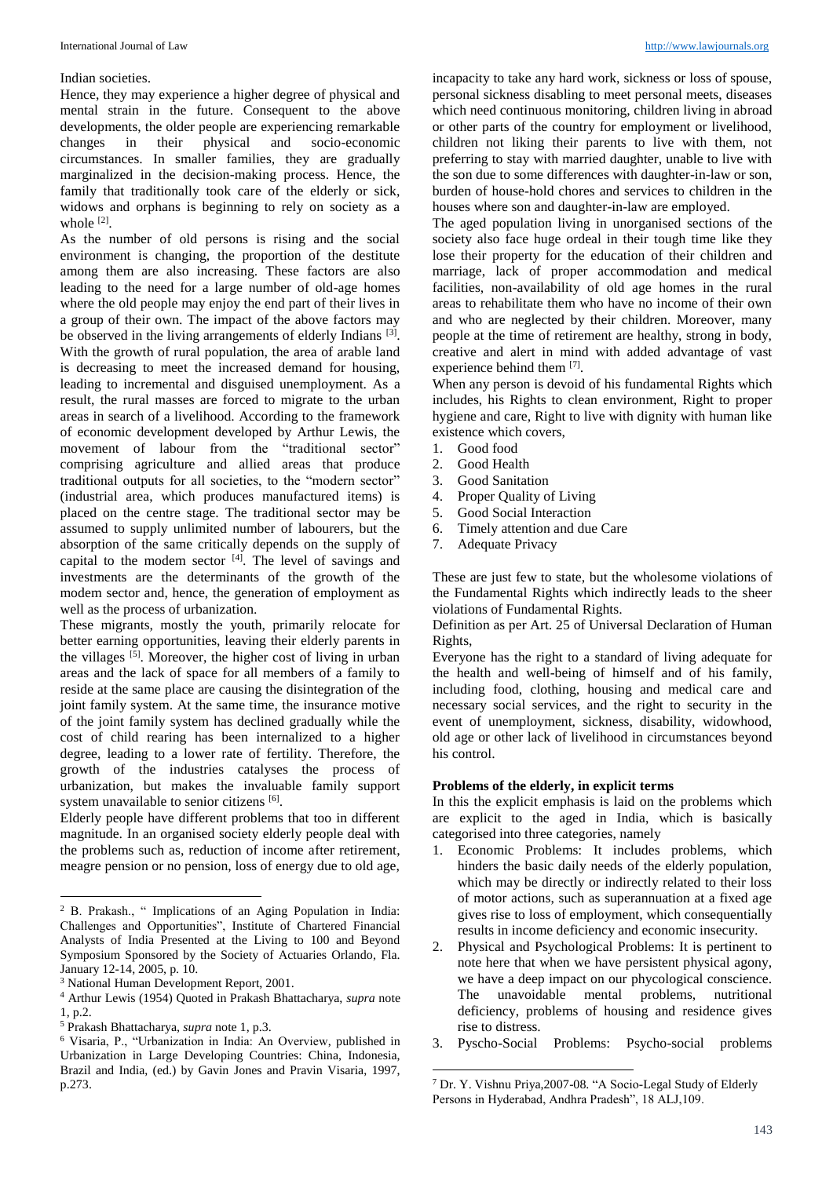#### Indian societies.

Hence, they may experience a higher degree of physical and mental strain in the future. Consequent to the above developments, the older people are experiencing remarkable<br>changes in their physical and socio-economic changes in their physical and socio-economic circumstances. In smaller families, they are gradually marginalized in the decision-making process. Hence, the family that traditionally took care of the elderly or sick, widows and orphans is beginning to rely on society as a whole  $^{[2]}$ .

As the number of old persons is rising and the social environment is changing, the proportion of the destitute among them are also increasing. These factors are also leading to the need for a large number of old-age homes where the old people may enjoy the end part of their lives in a group of their own. The impact of the above factors may be observed in the living arrangements of elderly Indians [3]. With the growth of rural population, the area of arable land is decreasing to meet the increased demand for housing, leading to incremental and disguised unemployment. As a result, the rural masses are forced to migrate to the urban areas in search of a livelihood. According to the framework of economic development developed by Arthur Lewis, the movement of labour from the "traditional sector" comprising agriculture and allied areas that produce traditional outputs for all societies, to the "modern sector" (industrial area, which produces manufactured items) is placed on the centre stage. The traditional sector may be assumed to supply unlimited number of labourers, but the absorption of the same critically depends on the supply of capital to the modem sector  $[4]$ . The level of savings and investments are the determinants of the growth of the modem sector and, hence, the generation of employment as well as the process of urbanization.

These migrants, mostly the youth, primarily relocate for better earning opportunities, leaving their elderly parents in the villages<sup>[5]</sup>. Moreover, the higher cost of living in urban areas and the lack of space for all members of a family to reside at the same place are causing the disintegration of the joint family system. At the same time, the insurance motive of the joint family system has declined gradually while the cost of child rearing has been internalized to a higher degree, leading to a lower rate of fertility. Therefore, the growth of the industries catalyses the process of urbanization, but makes the invaluable family support system unavailable to senior citizens [6].

Elderly people have different problems that too in different magnitude. In an organised society elderly people deal with the problems such as, reduction of income after retirement, meagre pension or no pension, loss of energy due to old age,

-

incapacity to take any hard work, sickness or loss of spouse, personal sickness disabling to meet personal meets, diseases which need continuous monitoring, children living in abroad or other parts of the country for employment or livelihood, children not liking their parents to live with them, not preferring to stay with married daughter, unable to live with the son due to some differences with daughter-in-law or son, burden of house-hold chores and services to children in the houses where son and daughter-in-law are employed.

The aged population living in unorganised sections of the society also face huge ordeal in their tough time like they lose their property for the education of their children and marriage, lack of proper accommodation and medical facilities, non-availability of old age homes in the rural areas to rehabilitate them who have no income of their own and who are neglected by their children. Moreover, many people at the time of retirement are healthy, strong in body, creative and alert in mind with added advantage of vast experience behind them [7].

When any person is devoid of his fundamental Rights which includes, his Rights to clean environment, Right to proper hygiene and care, Right to live with dignity with human like existence which covers,

- 1. Good food
- 2. Good Health

**.** 

- 3. Good Sanitation
- 4. Proper Quality of Living
- 5. Good Social Interaction
- 6. Timely attention and due Care
- 7. Adequate Privacy

These are just few to state, but the wholesome violations of the Fundamental Rights which indirectly leads to the sheer violations of Fundamental Rights.

Definition as per Art. 25 of Universal Declaration of Human Rights,

Everyone has the right to a standard of living adequate for the health and well-being of himself and of his family, including food, clothing, housing and medical care and necessary social services, and the right to security in the event of unemployment, sickness, disability, widowhood, old age or other lack of livelihood in circumstances beyond his control.

## **Problems of the elderly, in explicit terms**

In this the explicit emphasis is laid on the problems which are explicit to the aged in India, which is basically categorised into three categories, namely

- 1. Economic Problems: It includes problems, which hinders the basic daily needs of the elderly population, which may be directly or indirectly related to their loss of motor actions, such as superannuation at a fixed age gives rise to loss of employment, which consequentially results in income deficiency and economic insecurity.
- 2. Physical and Psychological Problems: It is pertinent to note here that when we have persistent physical agony, we have a deep impact on our phycological conscience. The unavoidable mental problems, nutritional deficiency, problems of housing and residence gives rise to distress.
- 3. Pyscho-Social Problems: Psycho-social problems

<sup>2</sup> B. Prakash., " Implications of an Aging Population in India: Challenges and Opportunities", Institute of Chartered Financial Analysts of India Presented at the Living to 100 and Beyond Symposium Sponsored by the Society of Actuaries Orlando, Fla. January 12-14, 2005, p. 10.

<sup>3</sup> National Human Development Report, 2001.

<sup>4</sup> Arthur Lewis (1954) Quoted in Prakash Bhattacharya, *supra* note 1, p.2.

<sup>5</sup> Prakash Bhattacharya, *supra* note 1, p.3.

<sup>6</sup> Visaria, P., "Urbanization in India: An Overview, published in Urbanization in Large Developing Countries: China, Indonesia, Brazil and India, (ed.) by Gavin Jones and Pravin Visaria, 1997, p.273.

<sup>7</sup> Dr. Y. Vishnu Priya,2007-08. "A Socio-Legal Study of Elderly Persons in Hyderabad, Andhra Pradesh", 18 ALJ,109.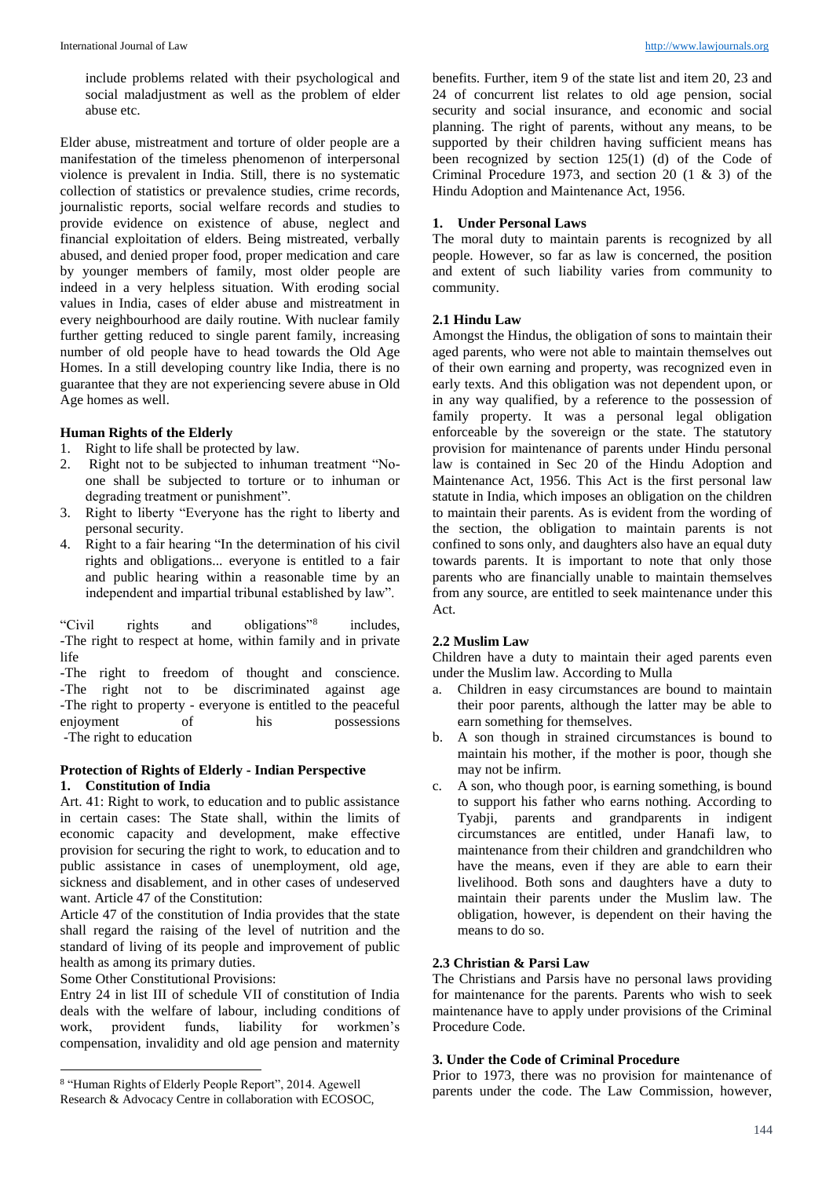include problems related with their psychological and social maladjustment as well as the problem of elder abuse etc.

Elder abuse, mistreatment and torture of older people are a manifestation of the timeless phenomenon of interpersonal violence is prevalent in India. Still, there is no systematic collection of statistics or prevalence studies, crime records, journalistic reports, social welfare records and studies to provide evidence on existence of abuse, neglect and financial exploitation of elders. Being mistreated, verbally abused, and denied proper food, proper medication and care by younger members of family, most older people are indeed in a very helpless situation. With eroding social values in India, cases of elder abuse and mistreatment in every neighbourhood are daily routine. With nuclear family further getting reduced to single parent family, increasing number of old people have to head towards the Old Age Homes. In a still developing country like India, there is no guarantee that they are not experiencing severe abuse in Old Age homes as well.

#### **Human Rights of the Elderly**

- 1. Right to life shall be protected by law.
- 2. Right not to be subjected to inhuman treatment "Noone shall be subjected to torture or to inhuman or degrading treatment or punishment".
- 3. Right to liberty "Everyone has the right to liberty and personal security.
- 4. Right to a fair hearing "In the determination of his civil rights and obligations... everyone is entitled to a fair and public hearing within a reasonable time by an independent and impartial tribunal established by law".

"Civil rights and obligations"<sup>8</sup> includes, -The right to respect at home, within family and in private life

-The right to freedom of thought and conscience. -The right not to be discriminated against age -The right to property - everyone is entitled to the peaceful enjoyment of his possessions -The right to education

#### **Protection of Rights of Elderly - Indian Perspective 1. Constitution of India**

## Art. 41: Right to work, to education and to public assistance in certain cases: The State shall, within the limits of economic capacity and development, make effective provision for securing the right to work, to education and to public assistance in cases of unemployment, old age,

sickness and disablement, and in other cases of undeserved want. Article 47 of the Constitution: Article 47 of the constitution of India provides that the state

shall regard the raising of the level of nutrition and the standard of living of its people and improvement of public health as among its primary duties.

Some Other Constitutional Provisions:

**.** 

Entry 24 in list III of schedule VII of constitution of India deals with the welfare of labour, including conditions of work, provident funds, liability for workmen's compensation, invalidity and old age pension and maternity

benefits. Further, item 9 of the state list and item 20, 23 and 24 of concurrent list relates to old age pension, social security and social insurance, and economic and social planning. The right of parents, without any means, to be supported by their children having sufficient means has been recognized by section 125(1) (d) of the Code of Criminal Procedure 1973, and section 20  $(1 \& 3)$  of the Hindu Adoption and Maintenance Act, 1956.

#### **1. Under Personal Laws**

The moral duty to maintain parents is recognized by all people. However, so far as law is concerned, the position and extent of such liability varies from community to community.

#### **2.1 Hindu Law**

Amongst the Hindus, the obligation of sons to maintain their aged parents, who were not able to maintain themselves out of their own earning and property, was recognized even in early texts. And this obligation was not dependent upon, or in any way qualified, by a reference to the possession of family property. It was a personal legal obligation enforceable by the sovereign or the state. The statutory provision for maintenance of parents under Hindu personal law is contained in Sec 20 of the Hindu Adoption and Maintenance Act, 1956. This Act is the first personal law statute in India, which imposes an obligation on the children to maintain their parents. As is evident from the wording of the section, the obligation to maintain parents is not confined to sons only, and daughters also have an equal duty towards parents. It is important to note that only those parents who are financially unable to maintain themselves from any source, are entitled to seek maintenance under this Act.

## **2.2 Muslim Law**

Children have a duty to maintain their aged parents even under the Muslim law. According to Mulla

- a. Children in easy circumstances are bound to maintain their poor parents, although the latter may be able to earn something for themselves.
- b. A son though in strained circumstances is bound to maintain his mother, if the mother is poor, though she may not be infirm.
- c. A son, who though poor, is earning something, is bound to support his father who earns nothing. According to Tyabji, parents and grandparents in indigent circumstances are entitled, under Hanafi law, to maintenance from their children and grandchildren who have the means, even if they are able to earn their livelihood. Both sons and daughters have a duty to maintain their parents under the Muslim law. The obligation, however, is dependent on their having the means to do so.

### **2.3 Christian & Parsi Law**

The Christians and Parsis have no personal laws providing for maintenance for the parents. Parents who wish to seek maintenance have to apply under provisions of the Criminal Procedure Code.

#### **3. Under the Code of Criminal Procedure**

Prior to 1973, there was no provision for maintenance of parents under the code. The Law Commission, however,

<sup>8</sup> "Human Rights of Elderly People Report", 2014. Agewell Research & Advocacy Centre in collaboration with ECOSOC,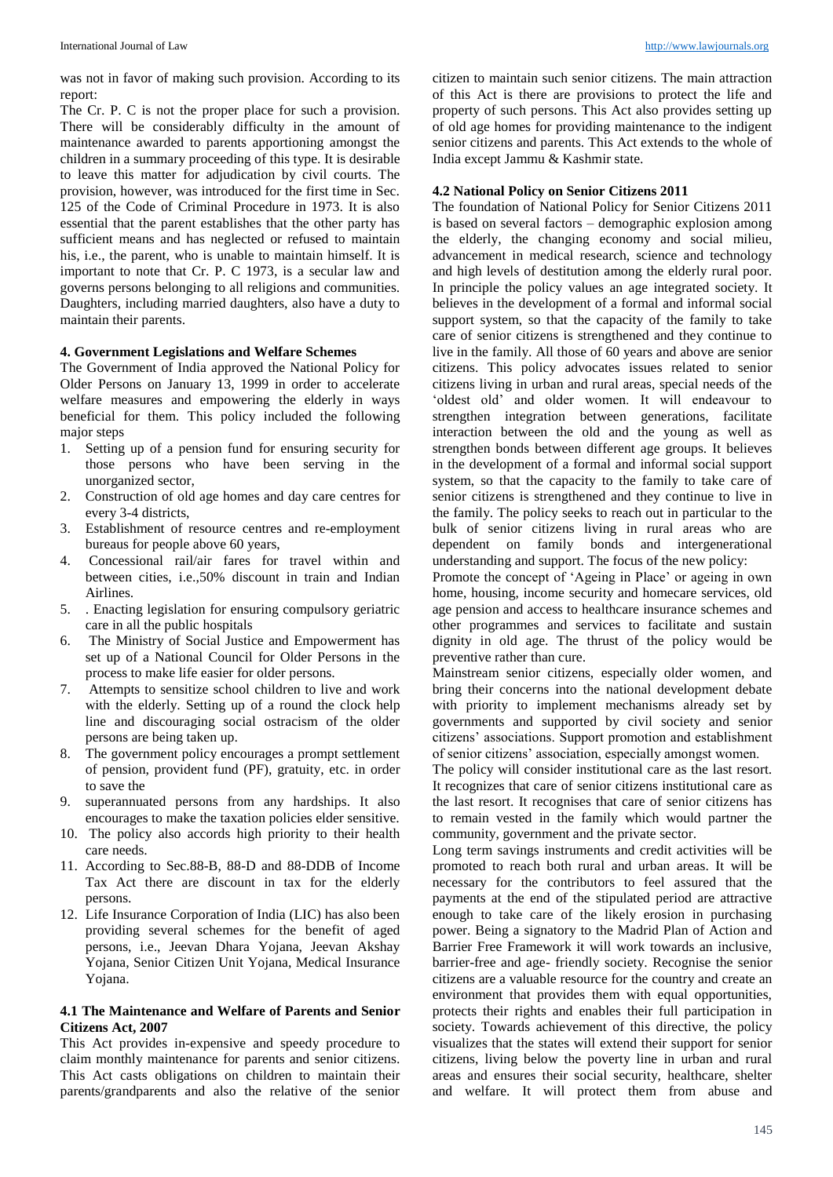was not in favor of making such provision. According to its report:

The Cr. P. C is not the proper place for such a provision. There will be considerably difficulty in the amount of maintenance awarded to parents apportioning amongst the children in a summary proceeding of this type. It is desirable to leave this matter for adjudication by civil courts. The provision, however, was introduced for the first time in Sec. 125 of the Code of Criminal Procedure in 1973. It is also essential that the parent establishes that the other party has sufficient means and has neglected or refused to maintain his, i.e., the parent, who is unable to maintain himself. It is important to note that Cr. P. C 1973, is a secular law and governs persons belonging to all religions and communities. Daughters, including married daughters, also have a duty to maintain their parents.

## **4. Government Legislations and Welfare Schemes**

The Government of India approved the National Policy for Older Persons on January 13, 1999 in order to accelerate welfare measures and empowering the elderly in ways beneficial for them. This policy included the following major steps

- 1. Setting up of a pension fund for ensuring security for those persons who have been serving in the unorganized sector,
- 2. Construction of old age homes and day care centres for every 3-4 districts,
- 3. Establishment of resource centres and re-employment bureaus for people above 60 years,
- 4. Concessional rail/air fares for travel within and between cities, i.e.,50% discount in train and Indian Airlines.
- 5. . Enacting legislation for ensuring compulsory geriatric care in all the public hospitals
- 6. The Ministry of Social Justice and Empowerment has set up of a National Council for Older Persons in the process to make life easier for older persons.
- 7. Attempts to sensitize school children to live and work with the elderly. Setting up of a round the clock help line and discouraging social ostracism of the older persons are being taken up.
- 8. The government policy encourages a prompt settlement of pension, provident fund (PF), gratuity, etc. in order to save the
- 9. superannuated persons from any hardships. It also encourages to make the taxation policies elder sensitive.
- 10. The policy also accords high priority to their health care needs.
- 11. According to Sec.88-B, 88-D and 88-DDB of Income Tax Act there are discount in tax for the elderly persons.
- 12. Life Insurance Corporation of India (LIC) has also been providing several schemes for the benefit of aged persons, i.e., Jeevan Dhara Yojana, Jeevan Akshay Yojana, Senior Citizen Unit Yojana, Medical Insurance Yojana.

#### **4.1 The Maintenance and Welfare of Parents and Senior Citizens Act, 2007**

This Act provides in-expensive and speedy procedure to claim monthly maintenance for parents and senior citizens. This Act casts obligations on children to maintain their parents/grandparents and also the relative of the senior

citizen to maintain such senior citizens. The main attraction of this Act is there are provisions to protect the life and property of such persons. This Act also provides setting up of old age homes for providing maintenance to the indigent senior citizens and parents. This Act extends to the whole of India except Jammu & Kashmir state.

#### **4.2 National Policy on Senior Citizens 2011**

The foundation of National Policy for Senior Citizens 2011 is based on several factors – demographic explosion among the elderly, the changing economy and social milieu, advancement in medical research, science and technology and high levels of destitution among the elderly rural poor. In principle the policy values an age integrated society. It believes in the development of a formal and informal social support system, so that the capacity of the family to take care of senior citizens is strengthened and they continue to live in the family. All those of 60 years and above are senior citizens. This policy advocates issues related to senior citizens living in urban and rural areas, special needs of the 'oldest old' and older women. It will endeavour to strengthen integration between generations, facilitate interaction between the old and the young as well as strengthen bonds between different age groups. It believes in the development of a formal and informal social support system, so that the capacity to the family to take care of senior citizens is strengthened and they continue to live in the family. The policy seeks to reach out in particular to the bulk of senior citizens living in rural areas who are dependent on family bonds and intergenerational understanding and support. The focus of the new policy:

Promote the concept of 'Ageing in Place' or ageing in own home, housing, income security and homecare services, old age pension and access to healthcare insurance schemes and other programmes and services to facilitate and sustain dignity in old age. The thrust of the policy would be preventive rather than cure.

Mainstream senior citizens, especially older women, and bring their concerns into the national development debate with priority to implement mechanisms already set by governments and supported by civil society and senior citizens' associations. Support promotion and establishment of senior citizens' association, especially amongst women.

The policy will consider institutional care as the last resort. It recognizes that care of senior citizens institutional care as the last resort. It recognises that care of senior citizens has to remain vested in the family which would partner the community, government and the private sector.

Long term savings instruments and credit activities will be promoted to reach both rural and urban areas. It will be necessary for the contributors to feel assured that the payments at the end of the stipulated period are attractive enough to take care of the likely erosion in purchasing power. Being a signatory to the Madrid Plan of Action and Barrier Free Framework it will work towards an inclusive, barrier-free and age- friendly society. Recognise the senior citizens are a valuable resource for the country and create an environment that provides them with equal opportunities, protects their rights and enables their full participation in society. Towards achievement of this directive, the policy visualizes that the states will extend their support for senior citizens, living below the poverty line in urban and rural areas and ensures their social security, healthcare, shelter and welfare. It will protect them from abuse and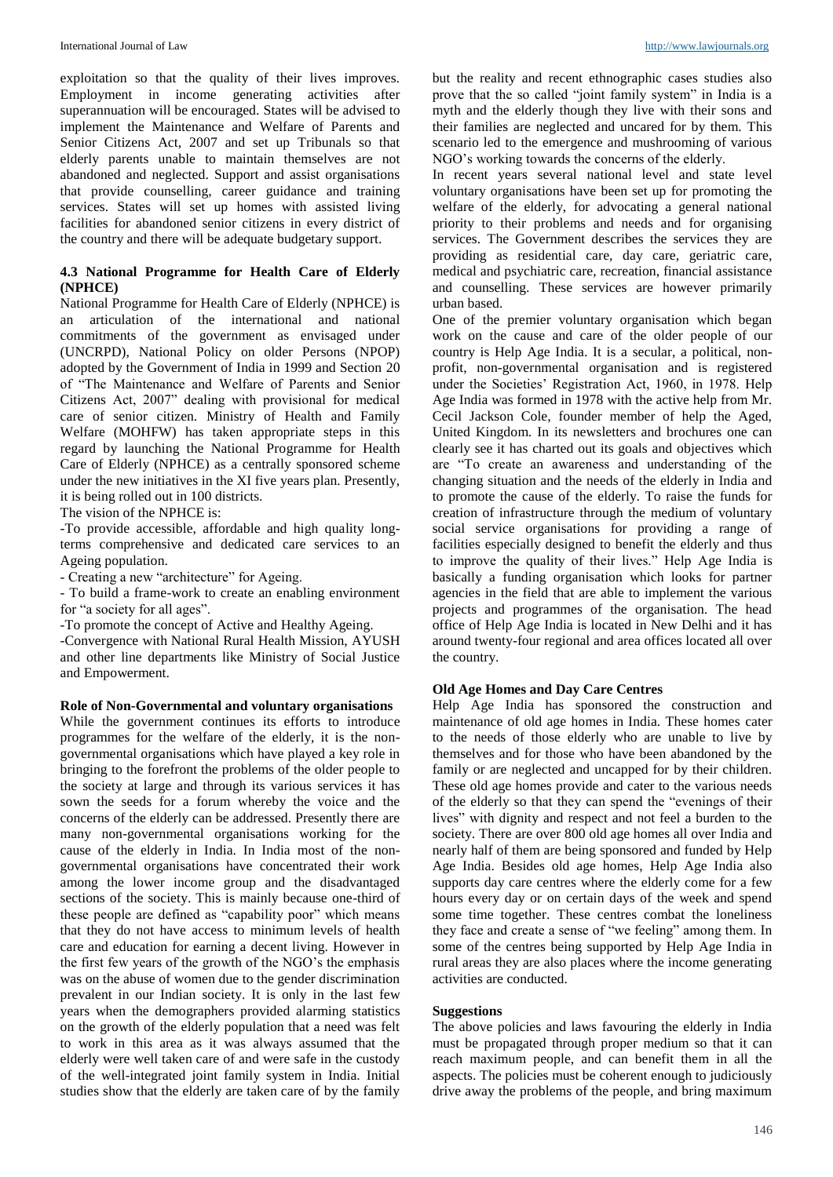exploitation so that the quality of their lives improves. Employment in income generating activities after superannuation will be encouraged. States will be advised to implement the Maintenance and Welfare of Parents and Senior Citizens Act, 2007 and set up Tribunals so that elderly parents unable to maintain themselves are not abandoned and neglected. Support and assist organisations that provide counselling, career guidance and training services. States will set up homes with assisted living facilities for abandoned senior citizens in every district of the country and there will be adequate budgetary support.

## **4.3 National Programme for Health Care of Elderly (NPHCE)**

National Programme for Health Care of Elderly (NPHCE) is an articulation of the international and national commitments of the government as envisaged under (UNCRPD), National Policy on older Persons (NPOP) adopted by the Government of India in 1999 and Section 20 of "The Maintenance and Welfare of Parents and Senior Citizens Act, 2007" dealing with provisional for medical care of senior citizen. Ministry of Health and Family Welfare (MOHFW) has taken appropriate steps in this regard by launching the National Programme for Health Care of Elderly (NPHCE) as a centrally sponsored scheme under the new initiatives in the XI five years plan. Presently, it is being rolled out in 100 districts.

The vision of the NPHCE is:

-To provide accessible, affordable and high quality longterms comprehensive and dedicated care services to an Ageing population.

- Creating a new "architecture" for Ageing.

- To build a frame-work to create an enabling environment for "a society for all ages".

-To promote the concept of Active and Healthy Ageing.

-Convergence with National Rural Health Mission, AYUSH and other line departments like Ministry of Social Justice and Empowerment.

**Role of Non-Governmental and voluntary organisations**

While the government continues its efforts to introduce programmes for the welfare of the elderly, it is the nongovernmental organisations which have played a key role in bringing to the forefront the problems of the older people to the society at large and through its various services it has sown the seeds for a forum whereby the voice and the concerns of the elderly can be addressed. Presently there are many non-governmental organisations working for the cause of the elderly in India. In India most of the nongovernmental organisations have concentrated their work among the lower income group and the disadvantaged sections of the society. This is mainly because one-third of these people are defined as "capability poor" which means that they do not have access to minimum levels of health care and education for earning a decent living. However in the first few years of the growth of the NGO's the emphasis was on the abuse of women due to the gender discrimination prevalent in our Indian society. It is only in the last few years when the demographers provided alarming statistics on the growth of the elderly population that a need was felt to work in this area as it was always assumed that the elderly were well taken care of and were safe in the custody of the well-integrated joint family system in India. Initial studies show that the elderly are taken care of by the family

but the reality and recent ethnographic cases studies also prove that the so called "joint family system" in India is a myth and the elderly though they live with their sons and their families are neglected and uncared for by them. This scenario led to the emergence and mushrooming of various NGO's working towards the concerns of the elderly.

In recent years several national level and state level voluntary organisations have been set up for promoting the welfare of the elderly, for advocating a general national priority to their problems and needs and for organising services. The Government describes the services they are providing as residential care, day care, geriatric care, medical and psychiatric care, recreation, financial assistance and counselling. These services are however primarily urban based.

One of the premier voluntary organisation which began work on the cause and care of the older people of our country is Help Age India. It is a secular, a political, nonprofit, non-governmental organisation and is registered under the Societies' Registration Act, 1960, in 1978. Help Age India was formed in 1978 with the active help from Mr. Cecil Jackson Cole, founder member of help the Aged, United Kingdom. In its newsletters and brochures one can clearly see it has charted out its goals and objectives which are "To create an awareness and understanding of the changing situation and the needs of the elderly in India and to promote the cause of the elderly. To raise the funds for creation of infrastructure through the medium of voluntary social service organisations for providing a range of facilities especially designed to benefit the elderly and thus to improve the quality of their lives." Help Age India is basically a funding organisation which looks for partner agencies in the field that are able to implement the various projects and programmes of the organisation. The head office of Help Age India is located in New Delhi and it has around twenty-four regional and area offices located all over the country.

## **Old Age Homes and Day Care Centres**

Help Age India has sponsored the construction and maintenance of old age homes in India. These homes cater to the needs of those elderly who are unable to live by themselves and for those who have been abandoned by the family or are neglected and uncapped for by their children. These old age homes provide and cater to the various needs of the elderly so that they can spend the "evenings of their lives" with dignity and respect and not feel a burden to the society. There are over 800 old age homes all over India and nearly half of them are being sponsored and funded by Help Age India. Besides old age homes, Help Age India also supports day care centres where the elderly come for a few hours every day or on certain days of the week and spend some time together. These centres combat the loneliness they face and create a sense of "we feeling" among them. In some of the centres being supported by Help Age India in rural areas they are also places where the income generating activities are conducted.

#### **Suggestions**

The above policies and laws favouring the elderly in India must be propagated through proper medium so that it can reach maximum people, and can benefit them in all the aspects. The policies must be coherent enough to judiciously drive away the problems of the people, and bring maximum